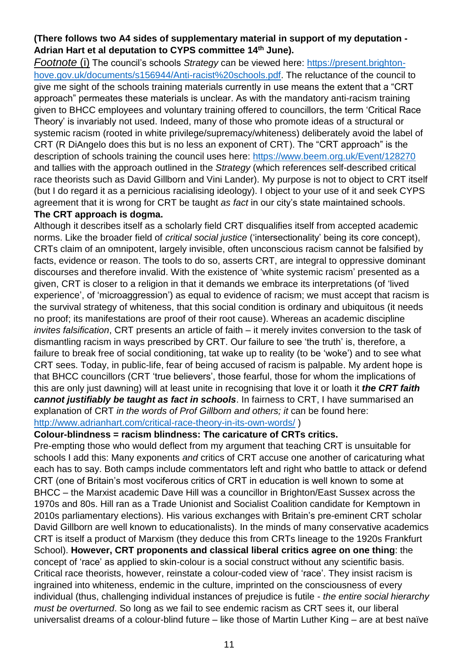## **(There follows two A4 sides of supplementary material in support of my deputation - Adrian Hart et al deputation to CYPS committee 14th June).**

*Footnote* (i) The council's schools *Strategy* can be viewed here: [https://present.brighton](https://present.brighton-hove.gov.uk/documents/s156944/Anti-racist%20schools.pdf)[hove.gov.uk/documents/s156944/Anti-racist%20schools.pdf.](https://present.brighton-hove.gov.uk/documents/s156944/Anti-racist%20schools.pdf) The reluctance of the council to give me sight of the schools training materials currently in use means the extent that a "CRT approach" permeates these materials is unclear. As with the mandatory anti-racism training given to BHCC employees and voluntary training offered to councillors, the term 'Critical Race Theory' is invariably not used. Indeed, many of those who promote ideas of a structural or systemic racism (rooted in white privilege/supremacy/whiteness) deliberately avoid the label of CRT (R DiAngelo does this but is no less an exponent of CRT). The "CRT approach" is the description of schools training the council uses here:<https://www.beem.org.uk/Event/128270> and tallies with the approach outlined in the *Strategy* (which references self-described critical race theorists such as David Gillborn and Vini Lander). My purpose is not to object to CRT itself (but I do regard it as a pernicious racialising ideology). I object to your use of it and seek CYPS agreement that it is wrong for CRT be taught *as fact* in our city's state maintained schools.

## **The CRT approach is dogma.**

Although it describes itself as a scholarly field CRT disqualifies itself from accepted academic norms. Like the broader field of *critical social justice* ('intersectionality' being its core concept), CRTs claim of an omnipotent, largely invisible, often unconscious racism cannot be falsified by facts, evidence or reason. The tools to do so, asserts CRT, are integral to oppressive dominant discourses and therefore invalid. With the existence of 'white systemic racism' presented as a given, CRT is closer to a religion in that it demands we embrace its interpretations (of 'lived experience', of 'microaggression') as equal to evidence of racism; we must accept that racism is the survival strategy of whiteness, that this social condition is ordinary and ubiquitous (it needs no proof; its manifestations are proof of their root cause). Whereas an academic discipline *invites falsification*, CRT presents an article of faith – it merely invites conversion to the task of dismantling racism in ways prescribed by CRT. Our failure to see 'the truth' is, therefore, a failure to break free of social conditioning, tat wake up to reality (to be 'woke') and to see what CRT sees. Today, in public-life, fear of being accused of racism is palpable. My ardent hope is that BHCC councillors (CRT 'true believers', those fearful, those for whom the implications of this are only just dawning) will at least unite in recognising that love it or loath it *the CRT faith cannot justifiably be taught as fact in schools*. In fairness to CRT, I have summarised an explanation of CRT *in the words of Prof Gillborn and others; it* can be found here: <http://www.adrianhart.com/critical-race-theory-in-its-own-words/> )

## **Colour-blindness = racism blindness: The caricature of CRTs critics.**

Pre-empting those who would deflect from my argument that teaching CRT is unsuitable for schools I add this: Many exponents *and* critics of CRT accuse one another of caricaturing what each has to say. Both camps include commentators left and right who battle to attack or defend CRT (one of Britain's most vociferous critics of CRT in education is well known to some at BHCC – the Marxist academic Dave Hill was a councillor in Brighton/East Sussex across the 1970s and 80s. Hill ran as a Trade Unionist and Socialist Coalition candidate for Kemptown in 2010s parliamentary elections). His various exchanges with Britain's pre-eminent CRT scholar David Gillborn are well known to educationalists). In the minds of many conservative academics CRT is itself a product of Marxism (they deduce this from CRTs lineage to the 1920s Frankfurt School). **However, CRT proponents and classical liberal critics agree on one thing**: the concept of 'race' as applied to skin-colour is a social construct without any scientific basis. Critical race theorists, however, reinstate a colour-coded view of 'race'. They insist racism is ingrained into whiteness, endemic in the culture, imprinted on the consciousness of every individual (thus, challenging individual instances of prejudice is futile - *the entire social hierarchy must be overturned*. So long as we fail to see endemic racism as CRT sees it, our liberal universalist dreams of a colour-blind future – like those of Martin Luther King – are at best naïve